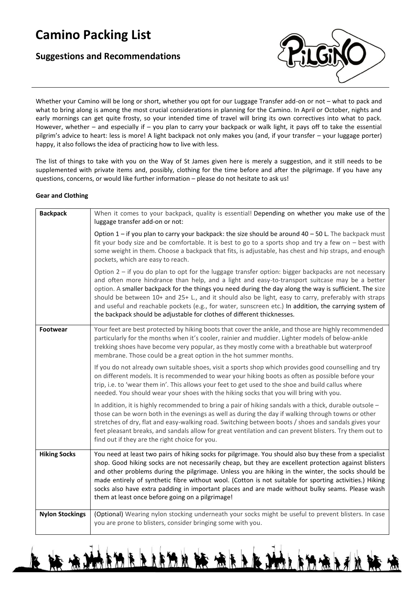# **Camino Packing List**

## **Suggestions and Recommendations**



Whether your Camino will be long or short, whether you opt for our Luggage Transfer add-on or not – what to pack and what to bring along is among the most crucial considerations in planning for the Camino. In April or October, nights and early mornings can get quite frosty, so your intended time of travel will bring its own correctives into what to pack. However, whether – and especially if – you plan to carry your backpack or walk light, it pays off to take the essential pilgrim's advice to heart: less is more! A light backpack not only makes you (and, if your transfer – your luggage porter) happy, it also follows the idea of practicing how to live with less.

The list of things to take with you on the Way of St James given here is merely a suggestion, and it still needs to be supplemented with private items and, possibly, clothing for the time before and after the pilgrimage. If you have any questions, concerns, or would like further information – please do not hesitate to ask us!

#### **Gear and Clothing**

| <b>Backpack</b>        | When it comes to your backpack, quality is essential! Depending on whether you make use of the<br>luggage transfer add-on or not:                                                                                                                                                                                                                                                                                                                                                                                                                                                                              |
|------------------------|----------------------------------------------------------------------------------------------------------------------------------------------------------------------------------------------------------------------------------------------------------------------------------------------------------------------------------------------------------------------------------------------------------------------------------------------------------------------------------------------------------------------------------------------------------------------------------------------------------------|
|                        | Option $1$ – if you plan to carry your backpack: the size should be around $40$ – 50 L. The backpack must<br>fit your body size and be comfortable. It is best to go to a sports shop and try a few on $-$ best with<br>some weight in them. Choose a backpack that fits, is adjustable, has chest and hip straps, and enough<br>pockets, which are easy to reach.                                                                                                                                                                                                                                             |
|                        | Option 2 – if you do plan to opt for the luggage transfer option: bigger backpacks are not necessary<br>and often more hindrance than help, and a light and easy-to-transport suitcase may be a better<br>option. A smaller backpack for the things you need during the day along the way is sufficient. The size<br>should be between 10+ and 25+ L., and it should also be light, easy to carry, preferably with straps<br>and useful and reachable pockets (e.g., for water, sunscreen etc.) In addition, the carrying system of<br>the backpack should be adjustable for clothes of different thicknesses. |
| <b>Footwear</b>        | Your feet are best protected by hiking boots that cover the ankle, and those are highly recommended<br>particularly for the months when it's cooler, rainier and muddier. Lighter models of below-ankle<br>trekking shoes have become very popular, as they mostly come with a breathable but waterproof<br>membrane. Those could be a great option in the hot summer months.                                                                                                                                                                                                                                  |
|                        | If you do not already own suitable shoes, visit a sports shop which provides good counselling and try<br>on different models. It is recommended to wear your hiking boots as often as possible before your<br>trip, i.e. to 'wear them in'. This allows your feet to get used to the shoe and build callus where<br>needed. You should wear your shoes with the hiking socks that you will bring with you.                                                                                                                                                                                                     |
|                        | In addition, it is highly recommended to bring a pair of hiking sandals with a thick, durable outsole -<br>those can be worn both in the evenings as well as during the day if walking through towns or other<br>stretches of dry, flat and easy-walking road. Switching between boots / shoes and sandals gives your<br>feet pleasant breaks, and sandals allow for great ventilation and can prevent blisters. Try them out to<br>find out if they are the right choice for you.                                                                                                                             |
| <b>Hiking Socks</b>    | You need at least two pairs of hiking socks for pilgrimage. You should also buy these from a specialist<br>shop. Good hiking socks are not necessarily cheap, but they are excellent protection against blisters<br>and other problems during the pilgrimage. Unless you are hiking in the winter, the socks should be<br>made entirely of synthetic fibre without wool. (Cotton is not suitable for sporting activities.) Hiking<br>socks also have extra padding in important places and are made without bulky seams. Please wash<br>them at least once before going on a pilgrimage!                       |
| <b>Nylon Stockings</b> | (Optional) Wearing nylon stocking underneath your socks might be useful to prevent blisters. In case<br>you are prone to blisters, consider bringing some with you.                                                                                                                                                                                                                                                                                                                                                                                                                                            |

KARRAM R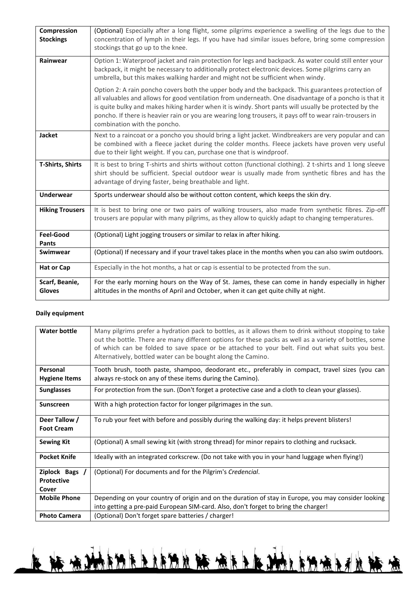| Compression<br><b>Stockings</b> | (Optional) Especially after a long flight, some pilgrims experience a swelling of the legs due to the<br>concentration of lymph in their legs. If you have had similar issues before, bring some compression<br>stockings that go up to the knee.                                                                                                                                                                                                                |
|---------------------------------|------------------------------------------------------------------------------------------------------------------------------------------------------------------------------------------------------------------------------------------------------------------------------------------------------------------------------------------------------------------------------------------------------------------------------------------------------------------|
| Rainwear                        | Option 1: Waterproof jacket and rain protection for legs and backpack. As water could still enter your<br>backpack, it might be necessary to additionally protect electronic devices. Some pilgrims carry an<br>umbrella, but this makes walking harder and might not be sufficient when windy.                                                                                                                                                                  |
|                                 | Option 2: A rain poncho covers both the upper body and the backpack. This guarantees protection of<br>all valuables and allows for good ventilation from underneath. One disadvantage of a poncho is that it<br>is quite bulky and makes hiking harder when it is windy. Short pants will usually be protected by the<br>poncho. If there is heavier rain or you are wearing long trousers, it pays off to wear rain-trousers in<br>combination with the poncho. |
| <b>Jacket</b>                   | Next to a raincoat or a poncho you should bring a light jacket. Windbreakers are very popular and can<br>be combined with a fleece jacket during the colder months. Fleece jackets have proven very useful<br>due to their light weight. If you can, purchase one that is windproof.                                                                                                                                                                             |
| <b>T-Shirts, Shirts</b>         | It is best to bring T-shirts and shirts without cotton (functional clothing). 2 t-shirts and 1 long sleeve<br>shirt should be sufficient. Special outdoor wear is usually made from synthetic fibres and has the<br>advantage of drying faster, being breathable and light.                                                                                                                                                                                      |
| <b>Underwear</b>                | Sports underwear should also be without cotton content, which keeps the skin dry.                                                                                                                                                                                                                                                                                                                                                                                |
| <b>Hiking Trousers</b>          | It is best to bring one or two pairs of walking trousers, also made from synthetic fibres. Zip-off<br>trousers are popular with many pilgrims, as they allow to quickly adapt to changing temperatures.                                                                                                                                                                                                                                                          |
| <b>Feel-Good</b><br>Pants       | (Optional) Light jogging trousers or similar to relax in after hiking.                                                                                                                                                                                                                                                                                                                                                                                           |
| Swimwear                        | (Optional) If necessary and if your travel takes place in the months when you can also swim outdoors.                                                                                                                                                                                                                                                                                                                                                            |
| <b>Hat or Cap</b>               | Especially in the hot months, a hat or cap is essential to be protected from the sun.                                                                                                                                                                                                                                                                                                                                                                            |
| Scarf, Beanie,<br><b>Gloves</b> | For the early morning hours on the Way of St. James, these can come in handy especially in higher<br>altitudes in the months of April and October, when it can get quite chilly at night.                                                                                                                                                                                                                                                                        |

### **Daily equipment**

| <b>Water bottle</b>                   | Many pilgrims prefer a hydration pack to bottles, as it allows them to drink without stopping to take<br>out the bottle. There are many different options for these packs as well as a variety of bottles, some<br>of which can be folded to save space or be attached to your belt. Find out what suits you best.<br>Alternatively, bottled water can be bought along the Camino. |
|---------------------------------------|------------------------------------------------------------------------------------------------------------------------------------------------------------------------------------------------------------------------------------------------------------------------------------------------------------------------------------------------------------------------------------|
| Personal<br><b>Hygiene Items</b>      | Tooth brush, tooth paste, shampoo, deodorant etc., preferably in compact, travel sizes (you can<br>always re-stock on any of these items during the Camino).                                                                                                                                                                                                                       |
| <b>Sunglasses</b>                     | For protection from the sun. (Don't forget a protective case and a cloth to clean your glasses).                                                                                                                                                                                                                                                                                   |
| <b>Sunscreen</b>                      | With a high protection factor for longer pilgrimages in the sun.                                                                                                                                                                                                                                                                                                                   |
| Deer Tallow /<br><b>Foot Cream</b>    | To rub your feet with before and possibly during the walking day: it helps prevent blisters!                                                                                                                                                                                                                                                                                       |
| <b>Sewing Kit</b>                     | (Optional) A small sewing kit (with strong thread) for minor repairs to clothing and rucksack.                                                                                                                                                                                                                                                                                     |
| <b>Pocket Knife</b>                   | Ideally with an integrated corkscrew. (Do not take with you in your hand luggage when flying!)                                                                                                                                                                                                                                                                                     |
| Ziplock Bags /<br>Protective<br>Cover | (Optional) For documents and for the Pilgrim's Credencial.                                                                                                                                                                                                                                                                                                                         |
| <b>Mobile Phone</b>                   | Depending on your country of origin and on the duration of stay in Europe, you may consider looking<br>into getting a pre-paid European SIM-card. Also, don't forget to bring the charger!                                                                                                                                                                                         |
| <b>Photo Camera</b>                   | (Optional) Don't forget spare batteries / charger!                                                                                                                                                                                                                                                                                                                                 |

L R AMBURILIAN R ARIANISHAN R A